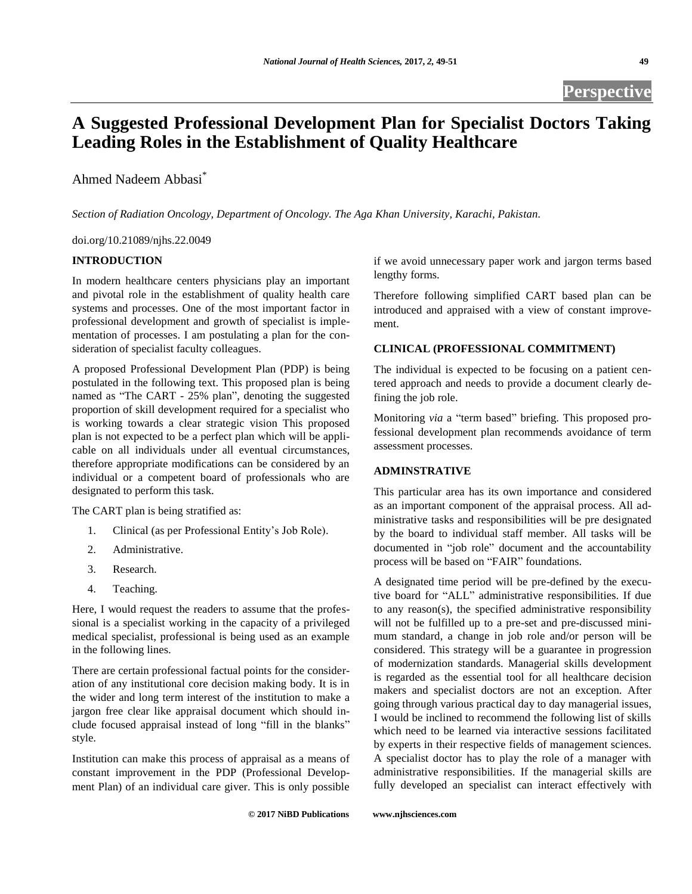# **A Suggested Professional Development Plan for Specialist Doctors Taking Leading Roles in the Establishment of Quality Healthcare**

Ahmed Nadeem Abbasi\*

*Section of Radiation Oncology, Department of Oncology. The Aga Khan University, Karachi, Pakistan.*

doi.org/10.21089/njhs.22.0049

# **INTRODUCTION**

In modern healthcare centers physicians play an important and pivotal role in the establishment of quality health care systems and processes. One of the most important factor in professional development and growth of specialist is implementation of processes. I am postulating a plan for the consideration of specialist faculty colleagues.

A proposed Professional Development Plan (PDP) is being postulated in the following text. This proposed plan is being named as "The CART - 25% plan", denoting the suggested proportion of skill development required for a specialist who is working towards a clear strategic vision This proposed plan is not expected to be a perfect plan which will be applicable on all individuals under all eventual circumstances, therefore appropriate modifications can be considered by an individual or a competent board of professionals who are designated to perform this task.

The CART plan is being stratified as:

- 1. Clinical (as per Professional Entity's Job Role).
- 2. Administrative.
- 3. Research.
- 4. Teaching.

Here, I would request the readers to assume that the professional is a specialist working in the capacity of a privileged medical specialist, professional is being used as an example in the following lines.

There are certain professional factual points for the consideration of any institutional core decision making body. It is in the wider and long term interest of the institution to make a jargon free clear like appraisal document which should include focused appraisal instead of long "fill in the blanks" style.

Institution can make this process of appraisal as a means of constant improvement in the PDP (Professional Development Plan) of an individual care giver. This is only possible

if we avoid unnecessary paper work and jargon terms based lengthy forms.

Therefore following simplified CART based plan can be introduced and appraised with a view of constant improvement.

## **CLINICAL (PROFESSIONAL COMMITMENT)**

The individual is expected to be focusing on a patient centered approach and needs to provide a document clearly defining the job role.

Monitoring *via* a "term based" briefing. This proposed professional development plan recommends avoidance of term assessment processes.

## **ADMINSTRATIVE**

This particular area has its own importance and considered as an important component of the appraisal process. All administrative tasks and responsibilities will be pre designated by the board to individual staff member. All tasks will be documented in "job role" document and the accountability process will be based on "FAIR" foundations.

A designated time period will be pre-defined by the executive board for "ALL" administrative responsibilities. If due to any reason(s), the specified administrative responsibility will not be fulfilled up to a pre-set and pre-discussed minimum standard, a change in job role and/or person will be considered. This strategy will be a guarantee in progression of modernization standards. Managerial skills development is regarded as the essential tool for all healthcare decision makers and specialist doctors are not an exception. After going through various practical day to day managerial issues, I would be inclined to recommend the following list of skills which need to be learned via interactive sessions facilitated by experts in their respective fields of management sciences. A specialist doctor has to play the role of a manager with administrative responsibilities. If the managerial skills are fully developed an specialist can interact effectively with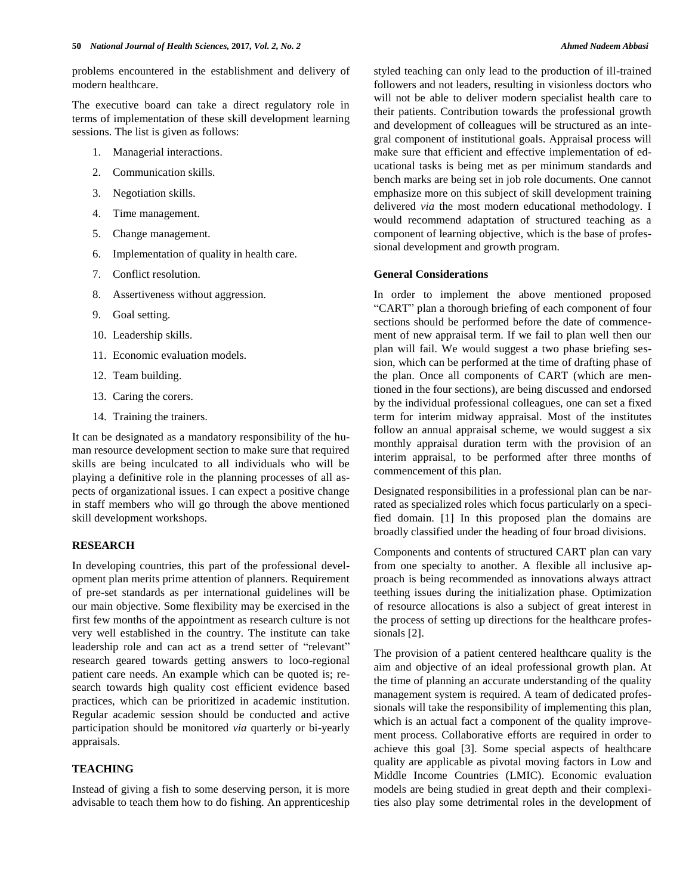problems encountered in the establishment and delivery of modern healthcare.

The executive board can take a direct regulatory role in terms of implementation of these skill development learning sessions. The list is given as follows:

- 1. Managerial interactions.
- 2. Communication skills.
- 3. Negotiation skills.
- 4. Time management.
- 5. Change management.
- 6. Implementation of quality in health care.
- 7. Conflict resolution.
- 8. Assertiveness without aggression.
- 9. Goal setting.
- 10. Leadership skills.
- 11. Economic evaluation models.
- 12. Team building.
- 13. Caring the corers.
- 14. Training the trainers.

It can be designated as a mandatory responsibility of the human resource development section to make sure that required skills are being inculcated to all individuals who will be playing a definitive role in the planning processes of all aspects of organizational issues. I can expect a positive change in staff members who will go through the above mentioned skill development workshops.

### **RESEARCH**

In developing countries, this part of the professional development plan merits prime attention of planners. Requirement of pre-set standards as per international guidelines will be our main objective. Some flexibility may be exercised in the first few months of the appointment as research culture is not very well established in the country. The institute can take leadership role and can act as a trend setter of "relevant" research geared towards getting answers to loco-regional patient care needs. An example which can be quoted is; research towards high quality cost efficient evidence based practices, which can be prioritized in academic institution. Regular academic session should be conducted and active participation should be monitored *via* quarterly or bi-yearly appraisals.

## **TEACHING**

Instead of giving a fish to some deserving person, it is more advisable to teach them how to do fishing. An apprenticeship styled teaching can only lead to the production of ill-trained followers and not leaders, resulting in visionless doctors who will not be able to deliver modern specialist health care to their patients. Contribution towards the professional growth and development of colleagues will be structured as an integral component of institutional goals. Appraisal process will make sure that efficient and effective implementation of educational tasks is being met as per minimum standards and bench marks are being set in job role documents. One cannot emphasize more on this subject of skill development training delivered *via* the most modern educational methodology. I would recommend adaptation of structured teaching as a component of learning objective, which is the base of professional development and growth program.

#### **General Considerations**

In order to implement the above mentioned proposed "CART" plan a thorough briefing of each component of four sections should be performed before the date of commencement of new appraisal term. If we fail to plan well then our plan will fail. We would suggest a two phase briefing session, which can be performed at the time of drafting phase of the plan. Once all components of CART (which are mentioned in the four sections), are being discussed and endorsed by the individual professional colleagues, one can set a fixed term for interim midway appraisal. Most of the institutes follow an annual appraisal scheme, we would suggest a six monthly appraisal duration term with the provision of an interim appraisal, to be performed after three months of commencement of this plan.

Designated responsibilities in a professional plan can be narrated as specialized roles which focus particularly on a specified domain. [1] In this proposed plan the domains are broadly classified under the heading of four broad divisions.

Components and contents of structured CART plan can vary from one specialty to another. A flexible all inclusive approach is being recommended as innovations always attract teething issues during the initialization phase. Optimization of resource allocations is also a subject of great interest in the process of setting up directions for the healthcare professionals [2].

The provision of a patient centered healthcare quality is the aim and objective of an ideal professional growth plan. At the time of planning an accurate understanding of the quality management system is required. A team of dedicated professionals will take the responsibility of implementing this plan, which is an actual fact a component of the quality improvement process. Collaborative efforts are required in order to achieve this goal [3]. Some special aspects of healthcare quality are applicable as pivotal moving factors in Low and Middle Income Countries (LMIC). Economic evaluation models are being studied in great depth and their complexities also play some detrimental roles in the development of